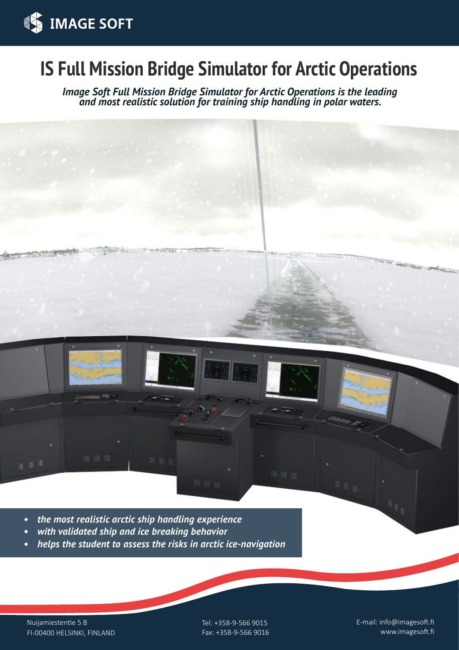

# **IS Full Mission Bridge Simulator for Arctic Operations**

*Image Soft Full Mission Bridge Simulator for Arctic Operations is the leading and most realistic solution for training ship handling in polar waters.*



- *• the most realistic arctic ship handling experience*
- *• with validated ship and ice breaking behavior*
- *• helps the student to assess the risks in arctic ice-navigation*

Nuijamiestentie 5 B FI-00400 HELSINKI, FINLAND Tel: +358-9-566 9015 Fax: +358-9-566 9016 E-mail: info@imagesoft.fi www.imagesoft.fi